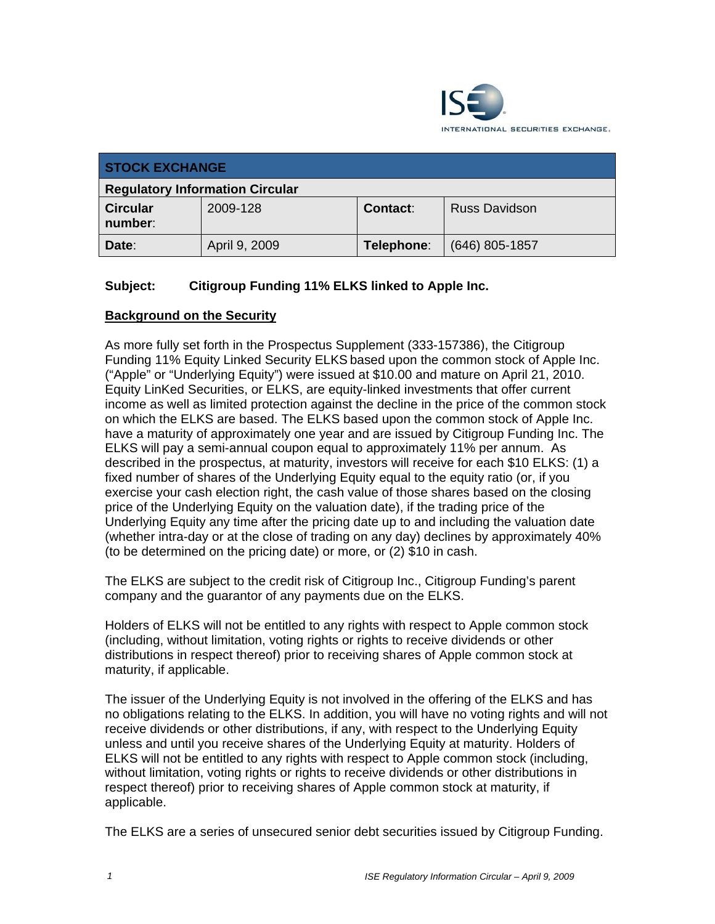

| <b>STOCK EXCHANGE</b>                  |               |            |                  |
|----------------------------------------|---------------|------------|------------------|
| <b>Regulatory Information Circular</b> |               |            |                  |
| <b>Circular</b><br>number:             | 2009-128      | Contact:   | Russ Davidson    |
| Date:                                  | April 9, 2009 | Telephone: | $(646)$ 805-1857 |

## **Subject: Citigroup Funding 11% ELKS linked to Apple Inc.**

### **Background on the Security**

As more fully set forth in the Prospectus Supplement (333-157386), the Citigroup Funding 11% Equity Linked Security ELKS based upon the common stock of Apple Inc. ("Apple" or "Underlying Equity") were issued at \$10.00 and mature on April 21, 2010. Equity LinKed Securities, or ELKS, are equity-linked investments that offer current income as well as limited protection against the decline in the price of the common stock on which the ELKS are based. The ELKS based upon the common stock of Apple Inc. have a maturity of approximately one year and are issued by Citigroup Funding Inc. The ELKS will pay a semi-annual coupon equal to approximately 11% per annum. As described in the prospectus, at maturity, investors will receive for each \$10 ELKS: (1) a fixed number of shares of the Underlying Equity equal to the equity ratio (or, if you exercise your cash election right, the cash value of those shares based on the closing price of the Underlying Equity on the valuation date), if the trading price of the Underlying Equity any time after the pricing date up to and including the valuation date (whether intra-day or at the close of trading on any day) declines by approximately 40% (to be determined on the pricing date) or more, or (2) \$10 in cash.

The ELKS are subject to the credit risk of Citigroup Inc., Citigroup Funding's parent company and the guarantor of any payments due on the ELKS.

Holders of ELKS will not be entitled to any rights with respect to Apple common stock (including, without limitation, voting rights or rights to receive dividends or other distributions in respect thereof) prior to receiving shares of Apple common stock at maturity, if applicable.

The issuer of the Underlying Equity is not involved in the offering of the ELKS and has no obligations relating to the ELKS. In addition, you will have no voting rights and will not receive dividends or other distributions, if any, with respect to the Underlying Equity unless and until you receive shares of the Underlying Equity at maturity. Holders of ELKS will not be entitled to any rights with respect to Apple common stock (including, without limitation, voting rights or rights to receive dividends or other distributions in respect thereof) prior to receiving shares of Apple common stock at maturity, if applicable.

The ELKS are a series of unsecured senior debt securities issued by Citigroup Funding.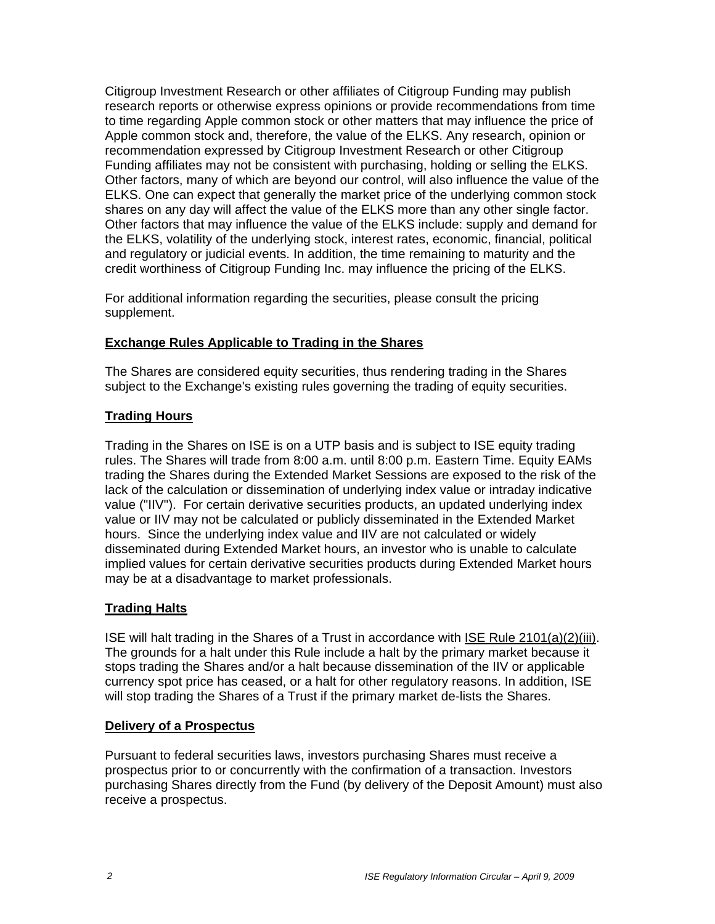Citigroup Investment Research or other affiliates of Citigroup Funding may publish research reports or otherwise express opinions or provide recommendations from time to time regarding Apple common stock or other matters that may influence the price of Apple common stock and, therefore, the value of the ELKS. Any research, opinion or recommendation expressed by Citigroup Investment Research or other Citigroup Funding affiliates may not be consistent with purchasing, holding or selling the ELKS. Other factors, many of which are beyond our control, will also influence the value of the ELKS. One can expect that generally the market price of the underlying common stock shares on any day will affect the value of the ELKS more than any other single factor. Other factors that may influence the value of the ELKS include: supply and demand for the ELKS, volatility of the underlying stock, interest rates, economic, financial, political and regulatory or judicial events. In addition, the time remaining to maturity and the credit worthiness of Citigroup Funding Inc. may influence the pricing of the ELKS.

For additional information regarding the securities, please consult the pricing supplement.

## **Exchange Rules Applicable to Trading in the Shares**

The Shares are considered equity securities, thus rendering trading in the Shares subject to the Exchange's existing rules governing the trading of equity securities.

## **Trading Hours**

Trading in the Shares on ISE is on a UTP basis and is subject to ISE equity trading rules. The Shares will trade from 8:00 a.m. until 8:00 p.m. Eastern Time. Equity EAMs trading the Shares during the Extended Market Sessions are exposed to the risk of the lack of the calculation or dissemination of underlying index value or intraday indicative value ("IIV"). For certain derivative securities products, an updated underlying index value or IIV may not be calculated or publicly disseminated in the Extended Market hours. Since the underlying index value and IIV are not calculated or widely disseminated during Extended Market hours, an investor who is unable to calculate implied values for certain derivative securities products during Extended Market hours may be at a disadvantage to market professionals.

### **Trading Halts**

ISE will halt trading in the Shares of a Trust in accordance with ISE Rule 2101(a)(2)(iii). The grounds for a halt under this Rule include a halt by the primary market because it stops trading the Shares and/or a halt because dissemination of the IIV or applicable currency spot price has ceased, or a halt for other regulatory reasons. In addition, ISE will stop trading the Shares of a Trust if the primary market de-lists the Shares.

### **Delivery of a Prospectus**

Pursuant to federal securities laws, investors purchasing Shares must receive a prospectus prior to or concurrently with the confirmation of a transaction. Investors purchasing Shares directly from the Fund (by delivery of the Deposit Amount) must also receive a prospectus.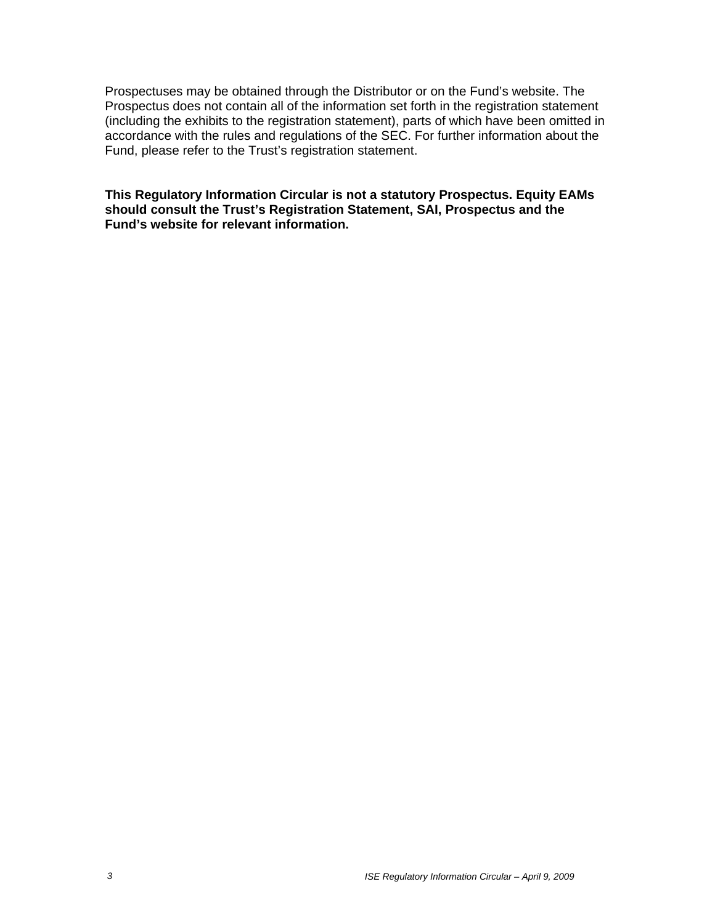Prospectuses may be obtained through the Distributor or on the Fund's website. The Prospectus does not contain all of the information set forth in the registration statement (including the exhibits to the registration statement), parts of which have been omitted in accordance with the rules and regulations of the SEC. For further information about the Fund, please refer to the Trust's registration statement.

**This Regulatory Information Circular is not a statutory Prospectus. Equity EAMs should consult the Trust's Registration Statement, SAI, Prospectus and the Fund's website for relevant information.**